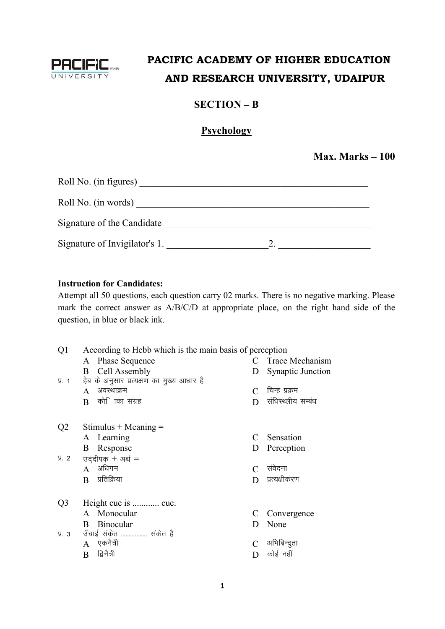

## PACIFIC ACADEMY OF HIGHER EDUCATION AND RESEARCH UNIVERSITY, UDAIPUR

### $SECTION - B$

### Psychology

Max. Marks  $-100$ 

| Roll No. (in figures)         |  |
|-------------------------------|--|
| Roll No. (in words)           |  |
| Signature of the Candidate    |  |
| Signature of Invigilator's 1. |  |

#### **Instruction for Candidates:**

Attempt all 50 questions, each question carry 02 marks. There is no negative marking. Please mark the correct answer as A/B/C/D at appropriate place, on the right hand side of the question, in blue or black ink.

| Q <sub>1</sub> | According to Hebb which is the main basis of perception |   |                          |
|----------------|---------------------------------------------------------|---|--------------------------|
|                | <b>Phase Sequence</b><br>A                              | C | Trace Mechanism          |
|                | Cell Assembly<br>B                                      | D | <b>Synaptic Junction</b> |
| $\Pi$ . 1      | हेब के अनुसार प्रत्यक्षण का मुख्य आधार है -             |   |                          |
|                | अवस्थाक्रम<br>A                                         | C | चिन्ह प्रक्रम            |
|                | कोि ाका संग्रह<br>B                                     | D | संधिस्थ्लीय सम्बंध       |
|                |                                                         |   |                          |
| Q <sub>2</sub> | Stimulus + Meaning $=$                                  |   |                          |
|                | A Learning                                              | C | Sensation                |
|                | Response<br>B                                           | D | Perception               |
| प्र. २         | उद्दीपक + अर्थ =                                        |   |                          |
|                | अधिगम<br>$\mathsf{A}$                                   |   | संवेदना                  |
|                | प्रतिक्रिया<br>B                                        | D | प्रत्यक्षीकरण            |
|                |                                                         |   |                          |
| Q3             | Height cue is  cue.                                     |   |                          |
|                | A Monocular                                             | C | Convergence              |
|                | Binocular<br>B                                          | D | None                     |
| Я. 3           | उँचाई सकेत  सकेत है                                     |   |                          |
|                | एकनैत्री<br>$\mathsf{A}$                                |   | अभिबिन्दुता              |
|                | द्विनैत्री<br>B                                         |   | कोई नहीं                 |
|                |                                                         |   |                          |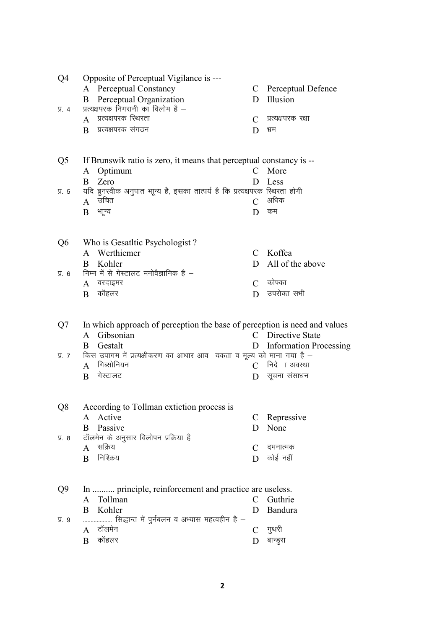| Q4             | Opposite of Perceptual Vigilance is ---                                                |               |                               |
|----------------|----------------------------------------------------------------------------------------|---------------|-------------------------------|
|                | <b>Perceptual Constancy</b><br>A                                                       |               | C Perceptual Defence          |
|                | Perceptual Organization<br>B                                                           | D             | Illusion                      |
| 贝 4            | प्रत्यक्षपरक निगरानी का विलोम है -                                                     |               |                               |
|                | प्रत्यक्षपरक स्थिरता<br>$\mathbf{A}$                                                   | C             | प्रत्यक्षपरक रक्षा            |
|                | प्रत्यक्षपरक संगठन<br>B                                                                | D             | भ्रम                          |
|                |                                                                                        |               |                               |
|                |                                                                                        |               |                               |
| Q <sub>5</sub> | If Brunswik ratio is zero, it means that perceptual constancy is --                    |               |                               |
|                | Optimum<br>A                                                                           | $\mathcal{C}$ | More                          |
|                | Zero<br>B                                                                              | D             | Less                          |
| 贝 5            | यदि ब्रुनस्वीक अनुपात भाून्य है, इसका तात्पर्य है कि प्रत्यक्षपरक स्थिरता होगी<br>उचित |               | अधिक                          |
|                | $\mathbf{A}$                                                                           | $\mathcal{C}$ |                               |
|                | भाून्य<br>B                                                                            | D             | कम                            |
|                |                                                                                        |               |                               |
|                |                                                                                        |               |                               |
| Q <sub>6</sub> | Who is Gesatltic Psychologist?<br>Werthiemer<br>A                                      | $\mathcal{C}$ | Koffca                        |
|                | Kohler<br>B                                                                            | D             | All of the above              |
| Я. 6           | निम्न में से गेस्टालट मनोवैज्ञानिक है –                                                |               |                               |
|                | वरदाइमर<br>$\mathbf{A}$                                                                | $\mathcal{C}$ | कोफ्का                        |
|                | कॉहलर<br>B                                                                             | D             | उपरोक्त सभी                   |
|                |                                                                                        |               |                               |
|                |                                                                                        |               |                               |
| Q7             | In which approach of perception the base of perception is need and values              |               |                               |
|                | Gibsonian<br>A                                                                         | C             | Directive State               |
|                | Gestalt<br>B                                                                           | D.            | <b>Information Processing</b> |
| <b>y. 7</b>    | किस उपागम में प्रत्यक्षीकरण का आधार आव यकता व मूल्य को माना गया है -                   |               |                               |
|                | गिब्सोनियन<br>A                                                                        |               | $C$ निदे । अवस्था             |
|                | गेस्टालट<br>B                                                                          | D             | सूचना संसाधन                  |
|                |                                                                                        |               |                               |
|                |                                                                                        |               |                               |
| Q8             | According to Tollman extiction process is                                              |               |                               |
|                | A Active                                                                               | C             | Repressive                    |
|                | Passive<br>B                                                                           | D             | None                          |
| प्र. 8         | टॉलमेन के अनुसार विलोपन प्रक्रिया है -                                                 |               |                               |
|                | सक्रिय<br>A                                                                            | C             | दमनात्मक                      |
|                | निश्क्रिय<br>B                                                                         | D             | कोई नहीं                      |
|                |                                                                                        |               |                               |
|                |                                                                                        |               |                               |
| Q9             | In  principle, reinforcement and practice are useless.                                 |               |                               |
|                | Tollman<br>A                                                                           | C             | Guthrie                       |
|                | Kohler<br>B                                                                            | D             | Bandura                       |
| <b>У.</b> 9    | सिद्धान्त में पुर्नबलन व अभ्यास महत्वहीन है –                                          |               |                               |
|                | टॉलमेन<br>A                                                                            | $\mathcal{C}$ | गुथरी                         |
|                | कॉहलर<br>B                                                                             | D             | बान्डुरा                      |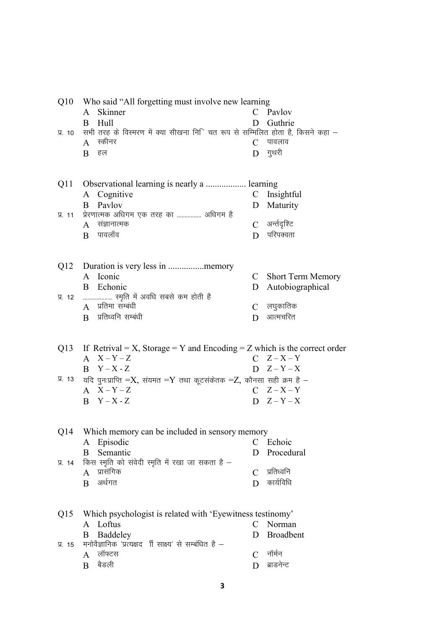| Q10              | Who said "All forgetting must involve new learning<br>Skinner<br>A                                      | C             | Pavlov               |
|------------------|---------------------------------------------------------------------------------------------------------|---------------|----------------------|
|                  | Hull<br>B                                                                                               | D             | Guthrie              |
| $\Pi$ . 10       | सभी तरह के विस्मरण में क्या सीखना निि चत रूप से सम्मिलित होता है, किसने कहा –<br>स्कीनर<br>$\mathbf{A}$ | $\mathcal{C}$ | पावलाव               |
|                  | हल<br>B                                                                                                 | D             | गुथरी                |
|                  |                                                                                                         |               |                      |
| Q <sub>1</sub> 1 | Observational learning is nearly a  learning                                                            |               |                      |
|                  | A Cognitive                                                                                             | $\mathbf{C}$  | Insightful           |
|                  | <b>B</b> Pavlov                                                                                         | D             | Maturity             |
| 贝 11             | प्रेरणात्मक अधिगम एक तरह का  अधिगम है                                                                   |               |                      |
|                  | संज्ञानात्मक<br>A                                                                                       |               | C अर्न्तदृष्टि       |
|                  | पावलॉव<br>$\mathbf{B}$                                                                                  | D.            | परिपक्वता            |
|                  |                                                                                                         |               |                      |
| Q12              |                                                                                                         |               |                      |
|                  | A Iconic                                                                                                |               | C Short Term Memory  |
|                  | B<br>Echonic                                                                                            | D             | Autobiographical     |
| प्र. 12          | रमृति में अवधि सबसे कम होती है<br>$A$ प्रतिमा सम्बंधी                                                   |               |                      |
|                  | प्रतिध्वनि सम्बंधी<br>$\mathbf{B}$                                                                      | $\mathcal{C}$ | लघुकातिक<br>आत्मचरित |
|                  |                                                                                                         | D             |                      |
|                  |                                                                                                         |               |                      |
| Q <sub>13</sub>  | If Retrival = X, Storage = Y and Encoding = Z which is the correct order<br>$A \quad X-Y-Z$             |               | $C \tZ-X-Y$          |
|                  | $Y - X - Z$<br>B.                                                                                       |               | $D \quad Z - Y - X$  |
|                  | प्र. 13 जयि पुनःप्राप्ति =X, संयमत =Y तथा कूटसंकेतक =Z, कौनसा सही क्रम है –                             |               |                      |
|                  | $A \quad X-Y-Z$                                                                                         |               | $C \tZ-X-Y$          |
|                  | $B$ $Y-X-Z$                                                                                             |               | $D \quad Z - Y - X$  |
|                  |                                                                                                         |               |                      |
|                  |                                                                                                         |               |                      |
| Q14              | Which memory can be included in sensory memory<br>Episodic                                              | C             | Echoic               |
|                  | A<br>Semantic<br>B                                                                                      | D             | Procedural           |
| 贝 14             | किस स्मृति को संवेदी स्मृति में रखा जा सकता है –                                                        |               |                      |
|                  | प्रासंगिक<br>A                                                                                          | C             | प्रतिध्वनि           |
|                  | अर्थगत<br>B                                                                                             | D             | कार्यविधि            |
|                  |                                                                                                         |               |                      |
| Q15              | Which psychologist is related with 'Eyewitness testinomy'                                               |               |                      |
|                  | Loftus<br>A                                                                                             | C             | Norman               |
|                  | Baddeley<br>B                                                                                           | D             | <b>Broadbent</b>     |
| <b>y. 15</b>     | मनोवैज्ञानिक 'प्रत्यक्षद र्गि साक्ष्य' से सम्बंधित है –                                                 |               |                      |
|                  | लॉफ्टस<br>A                                                                                             | $\mathcal{C}$ | नॉर्मन               |
|                  | बैडली<br>B                                                                                              | D             | ब्राडनेन्ट           |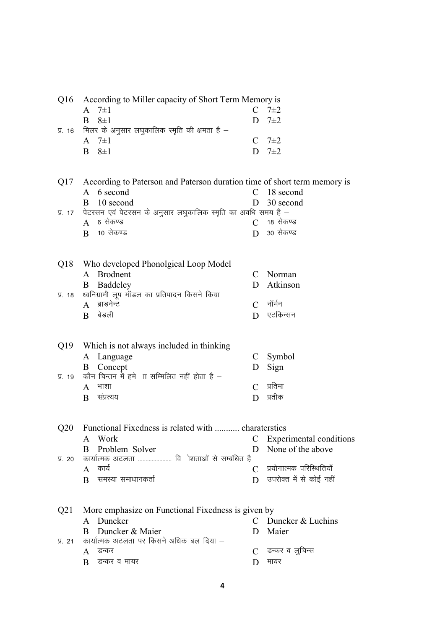| Q16 According to Miller capacity of Short Term Memory is |               |
|----------------------------------------------------------|---------------|
| A $7\pm1$                                                | $C \t 7\pm 2$ |
| $B \quad 8\pm1$                                          | D $7\pm2$     |
| प्र. 16 मिलर के अनुसार लघुकालिक स्मृति की क्षमता है –    |               |
| A $7\pm1$                                                | $C \t 7\pm 2$ |
| $B \quad 8\pm1$                                          | D $7\pm2$     |
|                                                          |               |

Q17 According to Paterson and Paterson duration time of short term memory is A 6 second C 18 second C 18 second D 30 second D 30 second  $B = 10$  second

|  | प्र. 17   पेटरसन एवं पेटरसन के अनुसार लघुकालिक स्मृति का अवधि समय है – |                  |
|--|------------------------------------------------------------------------|------------------|
|  | A 6 सेकण्ड                                                             | C $\,$ 18 सेकण्ड |
|  | $\overline{R}$ 10 सेकण्ड                                               | $D$ 30 सेकण्ड    |

| Q18 Who developed Phonolgical Loop Model               |                         |
|--------------------------------------------------------|-------------------------|
| A Brodnent                                             | C Norman                |
| <b>B</b> Baddeley                                      | D Atkinson              |
| प्र. 18 ध्वनिग्रामी लूप मॉडल का प्रतिपादन किसने किया – |                         |
| $A$ ब्राडनेन्ट                                         | $C \overline{f}$ नॉर्मन |
| $R$ बेडली                                              | एटकिन्सन                |

| Q19 Which is not always included in thinking         |  |             |  |  |
|------------------------------------------------------|--|-------------|--|--|
| A Language                                           |  | C Symbol    |  |  |
| <b>B</b> Concept                                     |  | D Sign      |  |  |
| प्र. 19 कौन चिन्तन में हमे ॥ सम्मिलित नहीं होता है – |  |             |  |  |
| भाशा                                                 |  | $C$ प्रतिमा |  |  |
| संप्रत्यय                                            |  | प्रतीक      |  |  |

| O <sub>20</sub> | Functional Fixedness is related with  charaterstics |  |                              |  |  |
|-----------------|-----------------------------------------------------|--|------------------------------|--|--|
|                 | A Work                                              |  | C Experimental conditions    |  |  |
|                 | B Problem Solver                                    |  | D None of the above          |  |  |
| $\Psi$ 20       | कार्यात्मक अटलता  वि ोशताओं से सम्बंधित है –        |  |                              |  |  |
|                 | काय                                                 |  | $C$ प्रयोगात्मक परिस्थितियाँ |  |  |
|                 | समस्या समाधानकर्ता                                  |  | $D$ उपरोक्त में से कोई नहीं  |  |  |

|           | Q21 More emphasize on Functional Fixedness is given by |  |                     |  |  |
|-----------|--------------------------------------------------------|--|---------------------|--|--|
|           | A Duncker                                              |  | C Duncker & Luchins |  |  |
|           | <b>B</b> Duncker & Maier                               |  | D Maier             |  |  |
| $\Psi$ 21 | कार्यात्मक अटलता पर किसने अधिक बल दिया –               |  |                     |  |  |
|           | डन्कर                                                  |  | $C$ डन्कर व लूचिन्स |  |  |
|           | डन्कर व मायर                                           |  | मायर                |  |  |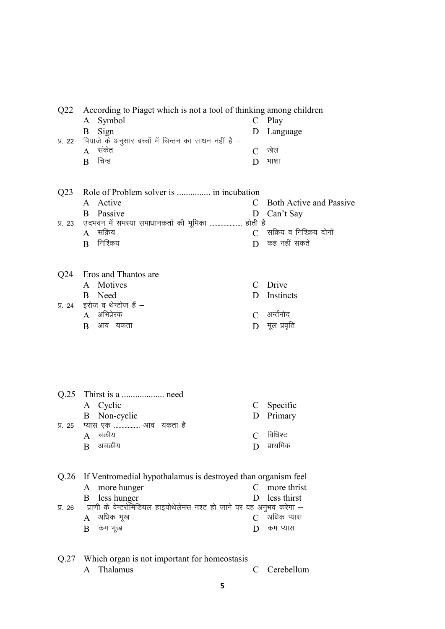| Q22             | According to Piaget which is not a tool of thinking among children   |                |                                |
|-----------------|----------------------------------------------------------------------|----------------|--------------------------------|
|                 | Symbol<br>A                                                          |                | $C$ Play                       |
|                 | Sign<br>B                                                            | D              | Language                       |
| 贝. 22           | पियाजे के अनुसार बच्चों में चिन्तन का साधन नहीं है –                 |                |                                |
|                 | संकेत<br>$\mathbf{A}$                                                | $\overline{C}$ | खेल                            |
|                 | चिन्ह<br>B                                                           | D              | भाशा                           |
|                 |                                                                      |                |                                |
|                 |                                                                      |                |                                |
| Q <sub>23</sub> | Role of Problem solver is  in incubation                             |                |                                |
|                 | Active<br>A                                                          | C              | <b>Both Active and Passive</b> |
|                 | Passive<br>B                                                         | D              | Can't Say                      |
| <b>y. 23</b>    | उदभवन में समस्या समाधानकर्ता की भूमिका  होती है                      |                |                                |
|                 | सक्रिय<br>$\mathbf{A}$                                               | $\mathcal{C}$  | सक्रिय व निश्क्रिय दोनों       |
|                 | निश्क्रिय<br>B                                                       | D              | कह नहीं सकते                   |
|                 |                                                                      |                |                                |
|                 |                                                                      |                |                                |
| Q <sub>24</sub> | Eros and Thantos are                                                 |                |                                |
|                 | Motives<br>A                                                         | C              | Drive                          |
|                 | Need<br>B                                                            | D              | Instincts                      |
| $\Pi$ . 24      | इरोज व थेन्टोज हैं -                                                 |                |                                |
|                 | अभिप्रेरक<br>$\mathsf{A}$                                            | $\mathcal{C}$  | अर्न्तनोद                      |
|                 | आव यकता<br>B                                                         | D              | मूल प्रवृति                    |
|                 |                                                                      |                |                                |
|                 |                                                                      |                |                                |
|                 |                                                                      |                |                                |
|                 |                                                                      |                |                                |
|                 |                                                                      |                |                                |
|                 |                                                                      |                |                                |
| Q.25            |                                                                      |                |                                |
|                 | A Cyclic                                                             | C              | Specific                       |
|                 | Non-cyclic<br>B                                                      | D              | Primary                        |
| <b>प्र. 25</b>  | प्यास एक  आव  यकता है                                                |                |                                |
|                 | चक्रीय<br>A                                                          | $\mathcal{C}$  | विधिश्ट                        |
|                 | अचक्रीय<br>B                                                         | D              | प्राथमिक                       |
|                 |                                                                      |                |                                |
|                 |                                                                      |                |                                |
| Q.26            | If Ventromedial hypothalamus is destroyed than organism feel         |                |                                |
|                 | more hunger<br>A                                                     | $\mathcal{C}$  | more thrist                    |
|                 | less hunger<br>B                                                     | D              | less thirst                    |
| 贝 26            | प्राणी के वेन्टरोमिडियल हाइपोथेलेमस नश्ट हो जाने पर वह अनुभव करेगा – |                |                                |
|                 | अधिक भूख<br>A                                                        | C              | अधिक प्यास                     |
|                 | कम भूख<br>B                                                          | $\mathbf{D}$   | कम प्यास                       |
|                 |                                                                      |                |                                |
|                 |                                                                      |                |                                |

|  | Q.27 Which organ is not important for homeostasis |              |
|--|---------------------------------------------------|--------------|
|  | A Thalamus                                        | C Cerebellum |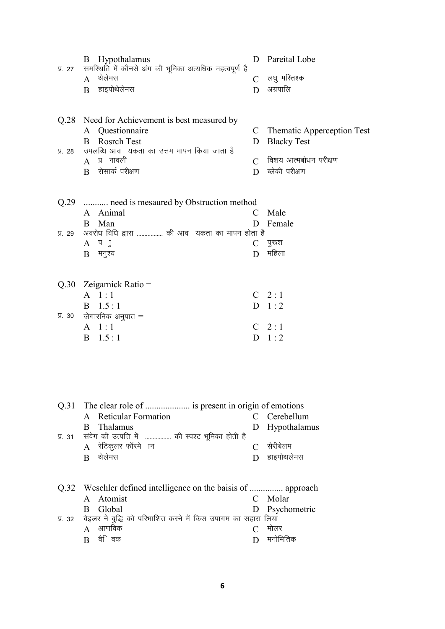| $\Pi. 27$    | Hypothalamus<br>B<br>समरिथति में कौनसे अंग की भूमिका अत्यधिक महत्वपूर्ण है<br>$A$ थेलेमस<br>हाइपोथेलेमस<br>B                                                                                                 | D<br>$\mathcal{C}$<br>D                  | Pareital Lobe<br>लघु मस्तिश्क<br>अग्रपालि                                                          |
|--------------|--------------------------------------------------------------------------------------------------------------------------------------------------------------------------------------------------------------|------------------------------------------|----------------------------------------------------------------------------------------------------|
| <b>V. 28</b> | Q.28 Need for Achievement is best measured by<br>A Questionnaire<br><b>Rosrch Test</b><br>B<br>उपलब्धि आव) यकता का उत्तम मापन किया जाता है<br>प्र नावली<br>$\mathsf{A}$<br>रोसार्क परीक्षण<br>$\overline{B}$ | $\mathcal{C}$<br>D<br>$\mathcal{C}$<br>D | <b>Thematic Apperception Test</b><br><b>Blacky Test</b><br>विशय आत्मबोधन परीक्षण<br>ब्लेकी परीक्षण |
| A. 29        | Q.29  need is mesaured by Obstruction method<br>A Animal<br>Man<br>B<br>अवरोध विधि द्वारा  की आव यकता का मापन होता है<br>A T J<br>मनुश्य<br>B                                                                | C<br>D<br>D                              | Male<br>Female<br>$C$ पुरूश<br>महिला                                                               |
| Я. 30        | $Q.30$ Zeigarnick Ratio =<br>$A \quad 1:1$<br>1.5:1<br>B<br>जेगारनिक अनुपात =<br>$A \quad 1:1$<br>$B = 1.5 : 1$                                                                                              |                                          | $C$ 2:1<br>$D \quad 1:2$<br>$C$ 2:1<br>$D \quad 1:2$                                               |
| $\Pi$ . 31   | Q.31 The clear role of  is present in origin of emotions<br><b>Reticular Formation</b><br>A<br>Thalamus<br>B.<br>संवेग की उत्पत्ति में  की स्पश्ट भूमिका होती है<br>$A$ रेटिकुलर फॉरमे ान<br>थेलेमस<br>B     | D<br>$\mathcal{C}$<br>D                  | C Cerebellum<br>Hypothalamus<br>सेरीबेलम<br>हाइपोथलेमस                                             |
|              | Atomist<br>A<br>Global<br>B                                                                                                                                                                                  | D                                        | C Molar<br>Psychometric                                                                            |

प्र. 32 वेइलर ने बुद्धि को परिभाशित करने में किस उपागम का सहारा लिया  $\,$  $\rm A$  आणविक  $\rm C$  मोलर  $\overline{B}$  वैिवक  $\overline{D}$  मनोमितिक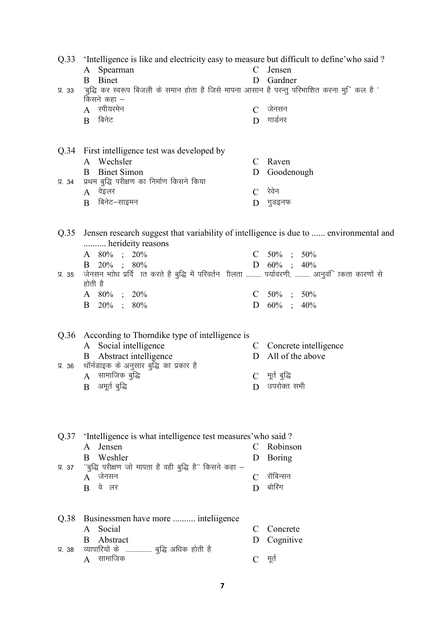| Q.33  | Intelligence is like and electricity easy to measure but difficult to define' who said?                     |               |                         |  |  |
|-------|-------------------------------------------------------------------------------------------------------------|---------------|-------------------------|--|--|
|       | A Spearman                                                                                                  |               | C Jensen                |  |  |
|       | Binet<br>B                                                                                                  | D             | Gardner                 |  |  |
| У. 33 | 'बुद्धि कर स्वरूप बिजली के समान होता है जिसे मापना आसान है परन्तु परिभाशित करना मुकिल है '<br>किसने कहा $-$ |               |                         |  |  |
|       | $A$ स्पीयरमेन                                                                                               | $\mathcal{C}$ | जेनसन                   |  |  |
|       | बिनेट<br>B                                                                                                  | D             | गार्डनर                 |  |  |
|       |                                                                                                             |               |                         |  |  |
|       | Q.34 First intelligence test was developed by                                                               |               |                         |  |  |
|       | A Wechsler                                                                                                  | $\mathcal{C}$ | Raven                   |  |  |
|       | <b>Binet Simon</b><br>B                                                                                     | D             | Goodenough              |  |  |
| 牙. 34 | प्रथम बुद्धि परीक्षण का निर्माण किसने किया                                                                  |               |                         |  |  |
|       | $A$ वेइलर                                                                                                   | $\mathcal{C}$ | रेवेन                   |  |  |
|       | बिनेट–साइमन<br>B                                                                                            | D             | गुडइनफ                  |  |  |
|       |                                                                                                             |               |                         |  |  |
|       |                                                                                                             |               |                         |  |  |
| Q.35  | Jensen research suggest that variability of intelligence is due to  environmental and<br>herideity reasons  |               |                         |  |  |
|       | A 80% ; 20%                                                                                                 |               | C $50\%$ ; $50\%$       |  |  |
|       | B $20\%$ ; $80\%$                                                                                           |               | D $60\%$ ; $40\%$       |  |  |
| У. 35 | जेनसन भाोध प्रर्दि ात करते है बुद्धि में परिवर्तन शिलता  पर्यावरणी,  आनुवंिाकता कारणों से                   |               |                         |  |  |
|       | होती है                                                                                                     |               |                         |  |  |
|       | A 80% ; 20%                                                                                                 |               | C $50\%$ ; $50\%$       |  |  |
|       | B $20\%$ ; $80\%$                                                                                           |               | D $60\%$ ; $40\%$       |  |  |
|       |                                                                                                             |               |                         |  |  |
| Q.36  | According to Thorndike type of intelligence is                                                              |               |                         |  |  |
|       | A Social intelligence                                                                                       |               | C Concrete intelligence |  |  |
|       | <b>B</b> Abstract intelligence                                                                              | D             | All of the above        |  |  |
| Я. 36 | थॉर्नडाइक के अनुसार बुद्धि का प्रकार है                                                                     |               |                         |  |  |
|       | $A$ सामाजिक बुद्धि                                                                                          | $\mathcal{C}$ | मूर्त बुद्धि            |  |  |
|       | $B$ अमूर्त बुद्धि                                                                                           |               | $D$ उपरोक्त सभी         |  |  |
|       |                                                                                                             |               |                         |  |  |
|       |                                                                                                             |               |                         |  |  |
|       |                                                                                                             |               |                         |  |  |
|       | Q.37 'Intelligence is what intelligence test measures' who said?                                            |               |                         |  |  |
|       | A Jensen                                                                                                    | C             | Robinson                |  |  |
|       | Weshler<br>B                                                                                                | D             | <b>Boring</b>           |  |  |
| 贝 37  | "बुद्धि परीक्षण जो मापता है वही बुद्धि है" किसने कहा –                                                      |               |                         |  |  |
|       | $A \quad$ जेनसन                                                                                             | $\mathcal{C}$ | रॉबिन्सन                |  |  |
|       | वे लर<br>$\overline{B}$                                                                                     | D             | बोरिंग                  |  |  |
|       |                                                                                                             |               |                         |  |  |
|       |                                                                                                             |               |                         |  |  |
| Q.38  | Businessmen have more  inteliigence                                                                         |               |                         |  |  |
|       | Social<br>A                                                                                                 | C             | Concrete                |  |  |
| У. 38 | Abstract<br>B<br>व्यापारियों के  बुद्धि अधिक होती है                                                        | D             | Cognitive               |  |  |
|       | $A$ सामाजिक                                                                                                 | $\mathcal{C}$ | मूर्त                   |  |  |
|       |                                                                                                             |               |                         |  |  |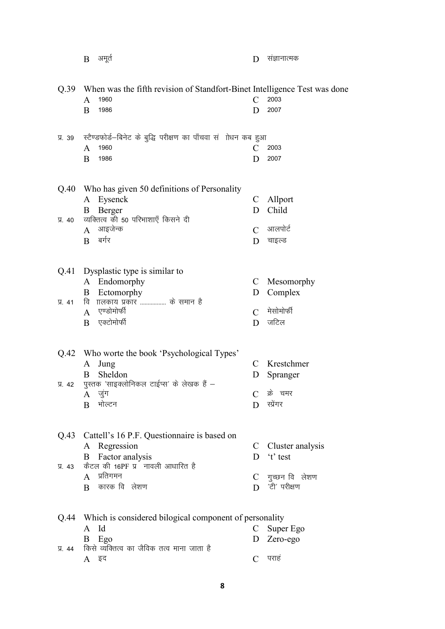|           | अमूर्त<br>B                                                               | D                     | संज्ञानात्मक       |
|-----------|---------------------------------------------------------------------------|-----------------------|--------------------|
|           |                                                                           |                       |                    |
| Q.39      | When was the fifth revision of Standfort-Binet Intelligence Test was done |                       |                    |
|           | 1960<br>A                                                                 | $\mathcal{C}_{0}^{0}$ | 2003               |
|           | 1986<br>B                                                                 | D                     | 2007               |
|           |                                                                           |                       |                    |
| У. 39     | स्टैण्डफोर्ड–बिनेट के बुद्धि परीक्षण का पाँचवा सं)ोधन कब हुआ              |                       |                    |
|           | 1960<br>A                                                                 | C                     | 2003               |
|           | B<br>1986                                                                 | D                     | 2007               |
|           |                                                                           |                       |                    |
| Q.40      | Who has given 50 definitions of Personality                               |                       |                    |
|           | Eysenck<br>A                                                              | C                     | Allport            |
|           | Berger<br>B                                                               | D                     | Child              |
| 贝 40      | व्यक्तित्व की 50 परिभाशाएँ किसने दी<br>आइजेन्क                            |                       | आलपोर्ट            |
|           | A<br>बर्गर                                                                | $\mathcal{C}$         |                    |
|           | B                                                                         | D                     | चाइल्ड             |
|           |                                                                           |                       |                    |
| Q.41      | Dysplastic type is similar to                                             |                       |                    |
|           | Endomorphy<br>A                                                           | C                     | Mesomorphy         |
|           | Ectomorphy<br>B                                                           | D                     | Complex            |
| $\Pi. 41$ | <b>ITलकाय प्रकार </b> के समान है<br>वि                                    |                       |                    |
|           | एण्डोमोर्फी<br>A                                                          | $\mathcal{C}$         | मेसोमोर्फी         |
|           | एक्टोमोर्फी<br>B                                                          | D                     | जटिल               |
|           |                                                                           |                       |                    |
| Q.42      | Who worte the book 'Psychological Types'                                  |                       |                    |
|           | Jung<br>A                                                                 | C                     | Krestchmer         |
|           | Sheldon<br>B                                                              | D                     | Spranger           |
| 贝 42      | पुस्तक 'साइक्लोनिकल टाईप्स' के लेखक हैं –                                 |                       |                    |
|           | $\mathbf{A}$<br>जुग                                                       | $\mathcal{C}$         | क्रे चमर           |
|           | भोल्टन<br>B                                                               | D                     | स्प्रेगर           |
|           |                                                                           |                       |                    |
| Q.43      | Cattell's 16 P.F. Questionnaire is based on                               |                       |                    |
|           | A Regression                                                              |                       | C Cluster analysis |
|           | Factor analysis<br>Β                                                      | D                     | 't' test           |
| Я. 43     | कैटल की 16PF प्र नावली आधारित है                                          |                       |                    |
|           | प्रतिगमन<br>$\mathsf{A}$                                                  | $\mathcal{C}$         | गुच्छन वि लेशण     |
|           | कारक वि लेशण<br>B                                                         | D                     | 'टी' परीक्षण       |
|           |                                                                           |                       |                    |
|           |                                                                           |                       |                    |
| Q.44      | Which is considered bilogical component of personality                    |                       |                    |
|           | Id<br>A                                                                   | C                     | Super Ego          |
|           | B<br>Ego                                                                  | D                     | Zero-ego           |
| 贝 44      | किसे व्यक्तित्व का जैविक तत्व माना जाता है                                |                       |                    |
|           | A इद                                                                      |                       | पराह               |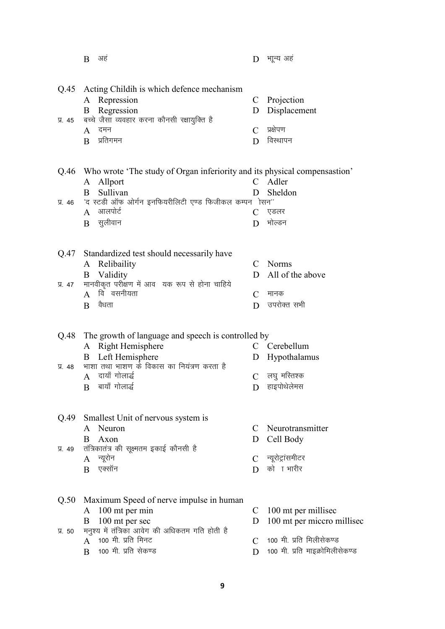|            | B<br>अहं                                                                       | D                 | भाून्य अह                                         |
|------------|--------------------------------------------------------------------------------|-------------------|---------------------------------------------------|
| Q.45       | Acting Childih is which defence mechanism                                      |                   |                                                   |
|            | Repression<br>A                                                                |                   | C Projection                                      |
|            | Regression<br>B                                                                | D                 | Displacement                                      |
| 贝. 45      | बच्चे जैसा व्यवहार करना कौनसी रक्षायुक्ति है                                   |                   |                                                   |
|            | दमन<br>$\mathbf{A}$                                                            | $\mathcal{C}$     | प्रक्षेपण                                         |
|            | प्रतिगमन<br>B                                                                  | D                 | विस्थापन                                          |
|            |                                                                                |                   |                                                   |
|            | Q.46 Who wrote 'The study of Organ inferiority and its physical compensastion' |                   |                                                   |
|            | Allport<br>A<br>Sullivan<br>B                                                  | $\mathbf{C}$<br>D | Adler                                             |
| 贝. 46      | 'द स्टडी ऑफ ओर्गन इनफियरीलिटी एण्ड फिजीकल कम्पन ोसन''                          |                   | Sheldon                                           |
|            | आलपोर्ट<br>$\mathsf{A}$                                                        | C                 | एडलर                                              |
|            | सुलीवान<br>B                                                                   | D                 | भोल्डन                                            |
|            |                                                                                |                   |                                                   |
|            |                                                                                |                   |                                                   |
|            | Q.47 Standardized test should necessarily have<br>Relibaility<br>A             | $\mathcal{C}$     | <b>Norms</b>                                      |
|            | Validity<br>B                                                                  | D                 | All of the above                                  |
| 贝 47       | मानवीकृत परीक्षण में आव यक रूप से होना चाहिये                                  |                   |                                                   |
|            | वि वसनीयता<br>$\mathbf{A}$                                                     | $\mathcal{C}$     | मानक                                              |
|            | वैधता<br>B                                                                     | D                 | उपरोक्त सभी                                       |
|            |                                                                                |                   |                                                   |
|            |                                                                                |                   |                                                   |
| Q.48       | The growth of language and speech is controlled by<br>Right Hemisphere         | C                 | Cerebellum                                        |
|            | A<br>Left Hemisphere<br>B                                                      | D                 | Hypothalamus                                      |
| $\Pi$ . 48 | भाशा तथा भाशण के विकास का नियंत्रण करता है                                     |                   |                                                   |
|            | दायाँ गोलार्द्ध<br>$\mathsf{A}$                                                | $\mathcal{C}$     | लघु मस्तिश्क                                      |
|            | बायाँ गोलार्द्ध<br>B                                                           | D                 | हाइपोथेलेमस                                       |
|            |                                                                                |                   |                                                   |
|            |                                                                                |                   |                                                   |
| Q.49       | Smallest Unit of nervous system is                                             |                   |                                                   |
|            | Neuron<br>A<br>B                                                               | C                 | Neurotransmitter                                  |
| 贝 49       | Axon<br>तंत्रिकातंत्र की सूक्ष्मतम इकाई कौनसी है                               | D                 | Cell Body                                         |
|            | न्यूरोन<br>A                                                                   | C                 | न्यूरोट्रांसमीटर                                  |
|            | एक्सॉन<br>B                                                                    | D                 | को ा भारीर                                        |
|            |                                                                                |                   |                                                   |
|            |                                                                                |                   |                                                   |
| Q.50       | Maximum Speed of nerve impulse in human                                        | C                 |                                                   |
|            | 100 mt per min<br>A<br>B                                                       | D                 | 100 mt per millised<br>100 mt per miccro millised |
| 贝 50       | 100 mt per sec<br>मनुश्य में तंत्रिका आवेग की अधिकतम गति होती है               |                   |                                                   |
|            | 100 मी. प्रति मिनट<br>$\mathsf{A}$                                             | $\mathcal{C}$     | 100 मी. प्रति मिलीसेकण्ड                          |
|            | 100 मी. प्रति सेकण्ड<br>B                                                      | D                 | 100 मी. प्रति माइक्रोमिलीसेकण्ड                   |